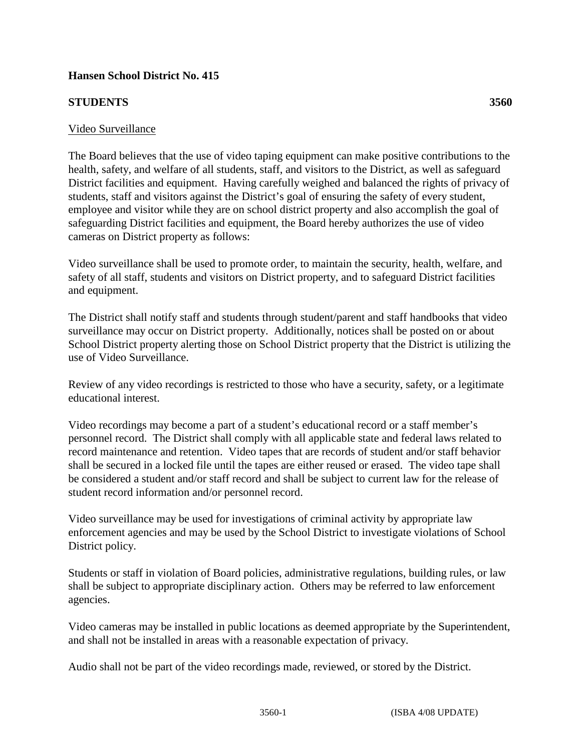## **Hansen School District No. 415**

## **STUDENTS 3560**

The Board believes that the use of video taping equipment can make positive contributions to the health, safety, and welfare of all students, staff, and visitors to the District, as well as safeguard District facilities and equipment. Having carefully weighed and balanced the rights of privacy of students, staff and visitors against the District's goal of ensuring the safety of every student, employee and visitor while they are on school district property and also accomplish the goal of safeguarding District facilities and equipment, the Board hereby authorizes the use of video cameras on District property as follows:

Video surveillance shall be used to promote order, to maintain the security, health, welfare, and safety of all staff, students and visitors on District property, and to safeguard District facilities and equipment.

The District shall notify staff and students through student/parent and staff handbooks that video surveillance may occur on District property. Additionally, notices shall be posted on or about School District property alerting those on School District property that the District is utilizing the use of Video Surveillance.

Review of any video recordings is restricted to those who have a security, safety, or a legitimate educational interest.

Video recordings may become a part of a student's educational record or a staff member's personnel record. The District shall comply with all applicable state and federal laws related to record maintenance and retention. Video tapes that are records of student and/or staff behavior shall be secured in a locked file until the tapes are either reused or erased. The video tape shall be considered a student and/or staff record and shall be subject to current law for the release of student record information and/or personnel record.

Video surveillance may be used for investigations of criminal activity by appropriate law enforcement agencies and may be used by the School District to investigate violations of School District policy.

Students or staff in violation of Board policies, administrative regulations, building rules, or law shall be subject to appropriate disciplinary action. Others may be referred to law enforcement agencies.

Video cameras may be installed in public locations as deemed appropriate by the Superintendent, and shall not be installed in areas with a reasonable expectation of privacy.

Audio shall not be part of the video recordings made, reviewed, or stored by the District.